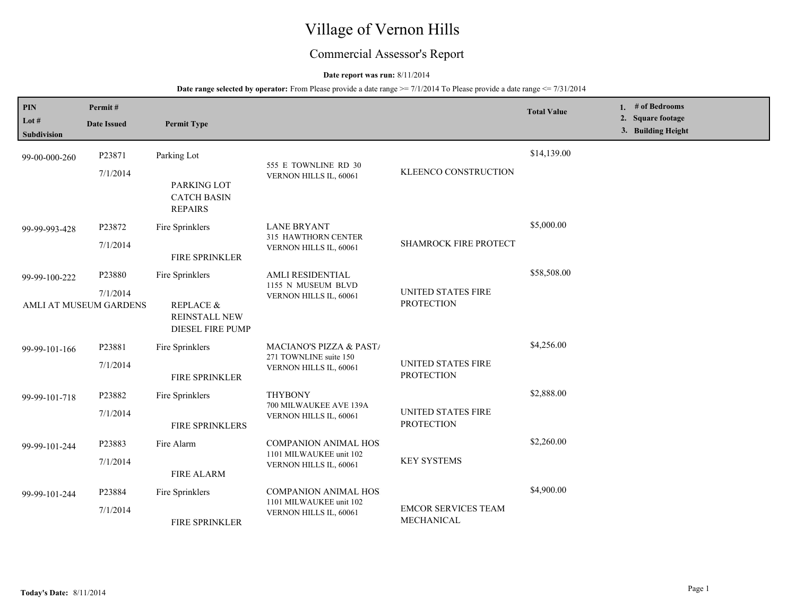# Village of Vernon Hills

## Commercial Assessor's Report

## **Date report was run:** 8/11/2014

| PIN<br>Lot $#$<br>Subdivision | Permit#<br><b>Date Issued</b>                | <b>Permit Type</b>                                                                  |                                                                                  |                                                | <b>Total Value</b> | 1. $#$ of Bedrooms<br>2. Square footage<br>3. Building Height |
|-------------------------------|----------------------------------------------|-------------------------------------------------------------------------------------|----------------------------------------------------------------------------------|------------------------------------------------|--------------------|---------------------------------------------------------------|
| 99-00-000-260                 | P23871<br>7/1/2014                           | Parking Lot<br>PARKING LOT<br><b>CATCH BASIN</b><br><b>REPAIRS</b>                  | 555 E TOWNLINE RD 30<br>VERNON HILLS IL, 60061                                   | KLEENCO CONSTRUCTION                           | \$14,139.00        |                                                               |
| 99-99-993-428                 | P23872<br>7/1/2014                           | Fire Sprinklers<br>FIRE SPRINKLER                                                   | <b>LANE BRYANT</b><br>315 HAWTHORN CENTER<br>VERNON HILLS IL, 60061              | <b>SHAMROCK FIRE PROTECT</b>                   | \$5,000.00         |                                                               |
| 99-99-100-222                 | P23880<br>7/1/2014<br>AMLI AT MUSEUM GARDENS | Fire Sprinklers<br><b>REPLACE &amp;</b><br>REINSTALL NEW<br><b>DIESEL FIRE PUMP</b> | AMLI RESIDENTIAL<br>1155 N MUSEUM BLVD<br>VERNON HILLS IL, 60061                 | <b>UNITED STATES FIRE</b><br><b>PROTECTION</b> | \$58,508.00        |                                                               |
| 99-99-101-166                 | P23881<br>7/1/2014                           | Fire Sprinklers<br>FIRE SPRINKLER                                                   | MACIANO'S PIZZA & PAST/<br>271 TOWNLINE suite 150<br>VERNON HILLS IL, 60061      | UNITED STATES FIRE<br><b>PROTECTION</b>        | \$4,256.00         |                                                               |
| 99-99-101-718                 | P23882<br>7/1/2014                           | Fire Sprinklers<br>FIRE SPRINKLERS                                                  | <b>THYBONY</b><br>700 MILWAUKEE AVE 139A<br>VERNON HILLS IL, 60061               | <b>UNITED STATES FIRE</b><br><b>PROTECTION</b> | \$2,888.00         |                                                               |
| 99-99-101-244                 | P23883<br>7/1/2014                           | Fire Alarm<br><b>FIRE ALARM</b>                                                     | <b>COMPANION ANIMAL HOS</b><br>1101 MILWAUKEE unit 102<br>VERNON HILLS IL, 60061 | <b>KEY SYSTEMS</b>                             | \$2,260.00         |                                                               |
| 99-99-101-244                 | P23884<br>7/1/2014                           | Fire Sprinklers<br><b>FIRE SPRINKLER</b>                                            | <b>COMPANION ANIMAL HOS</b><br>1101 MILWAUKEE unit 102<br>VERNON HILLS IL, 60061 | <b>EMCOR SERVICES TEAM</b><br>MECHANICAL       | \$4,900.00         |                                                               |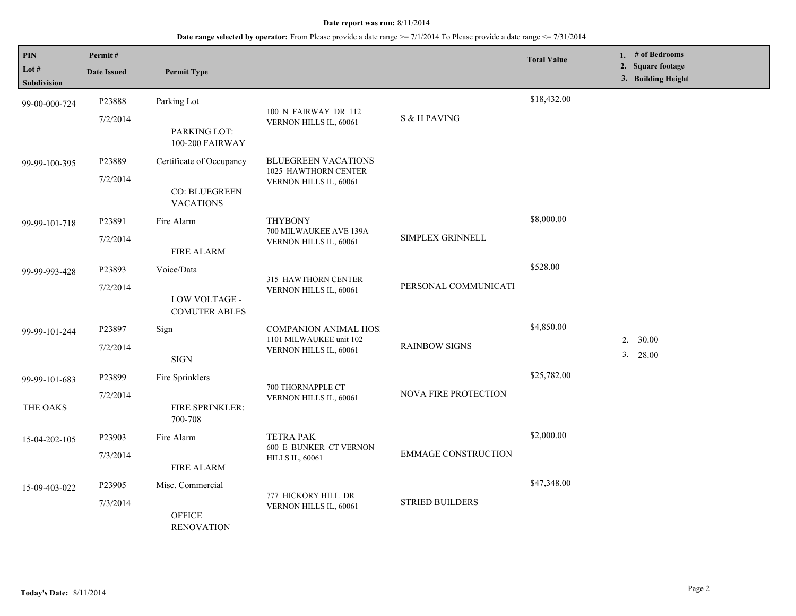| <b>PIN</b><br>Lot # | Permit#<br><b>Date Issued</b>                     | <b>Permit Type</b>                                                    |                                                         |                             | <b>Total Value</b> | 1. $#$ of Bedrooms<br>2. Square footage<br>3. Building Height |
|---------------------|---------------------------------------------------|-----------------------------------------------------------------------|---------------------------------------------------------|-----------------------------|--------------------|---------------------------------------------------------------|
| <b>Subdivision</b>  |                                                   |                                                                       |                                                         |                             |                    |                                                               |
| 99-00-000-724       | P23888                                            | Parking Lot                                                           |                                                         |                             | \$18,432.00        |                                                               |
|                     | 7/2/2014                                          |                                                                       | 100 N FAIRWAY DR 112<br>VERNON HILLS IL, 60061          | S & H PAVING                |                    |                                                               |
|                     |                                                   | PARKING LOT:<br>100-200 FAIRWAY                                       |                                                         |                             |                    |                                                               |
| 99-99-100-395       | P23889                                            | Certificate of Occupancy                                              | <b>BLUEGREEN VACATIONS</b><br>1025 HAWTHORN CENTER      |                             |                    |                                                               |
|                     | 7/2/2014                                          | CO: BLUEGREEN<br><b>VACATIONS</b>                                     | VERNON HILLS IL, 60061                                  |                             |                    |                                                               |
| 99-99-101-718       | P23891                                            | Fire Alarm                                                            | <b>THYBONY</b>                                          |                             | \$8,000.00         |                                                               |
|                     | 7/2/2014                                          | <b>FIRE ALARM</b>                                                     | 700 MILWAUKEE AVE 139A<br>VERNON HILLS IL, 60061        | SIMPLEX GRINNELL            |                    |                                                               |
| 99-99-993-428       | P23893                                            | Voice/Data                                                            |                                                         |                             | \$528.00           |                                                               |
|                     | 7/2/2014<br>LOW VOLTAGE -<br><b>COMUTER ABLES</b> | 315 HAWTHORN CENTER<br>PERSONAL COMMUNICATI<br>VERNON HILLS IL, 60061 |                                                         |                             |                    |                                                               |
| 99-99-101-244       | P23897                                            | Sign                                                                  | <b>COMPANION ANIMAL HOS</b>                             | <b>RAINBOW SIGNS</b>        | \$4,850.00         |                                                               |
|                     | 7/2/2014                                          | <b>SIGN</b>                                                           | 1101 MILWAUKEE unit 102<br>VERNON HILLS IL, 60061       |                             |                    | 30.00<br>2.<br>3. 28.00                                       |
| 99-99-101-683       | P23899                                            | Fire Sprinklers                                                       |                                                         |                             | \$25,782.00        |                                                               |
| THE OAKS            | 7/2/2014                                          | FIRE SPRINKLER:<br>700-708                                            | 700 THORNAPPLE CT<br>VERNON HILLS IL, 60061             | <b>NOVA FIRE PROTECTION</b> |                    |                                                               |
| 15-04-202-105       | P23903                                            | Fire Alarm                                                            | <b>TETRA PAK</b>                                        |                             | \$2,000.00         |                                                               |
|                     | 7/3/2014                                          | <b>FIRE ALARM</b>                                                     | <b>600 E BUNKER CT VERNON</b><br><b>HILLS IL, 60061</b> | <b>EMMAGE CONSTRUCTION</b>  |                    |                                                               |
| 15-09-403-022       | P23905                                            | Misc. Commercial                                                      |                                                         |                             | \$47,348.00        |                                                               |
|                     | 7/3/2014                                          | <b>OFFICE</b><br><b>RENOVATION</b>                                    | 777 HICKORY HILL DR<br>VERNON HILLS IL, 60061           | <b>STRIED BUILDERS</b>      |                    |                                                               |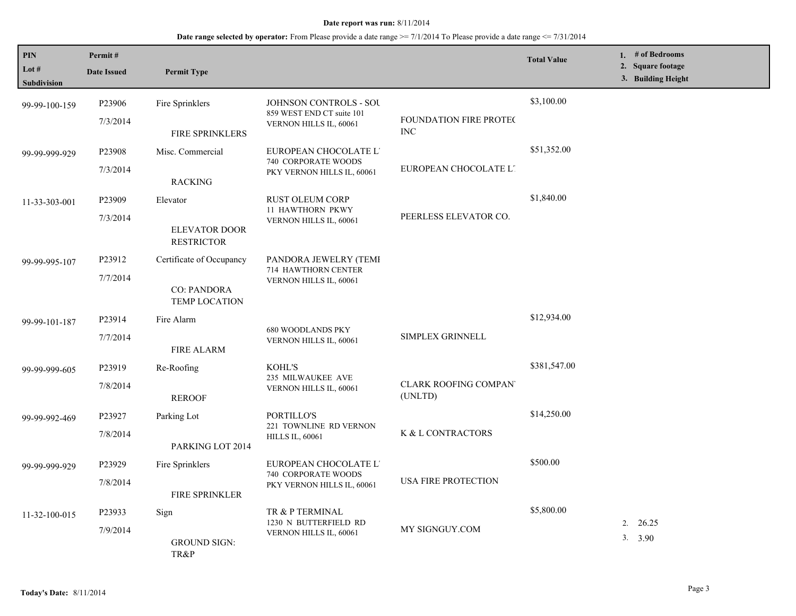| <b>PIN</b>    | Permit#                                 |                                                                   |                                                            |                                        | <b>Total Value</b>    | 1. # of Bedrooms                        |
|---------------|-----------------------------------------|-------------------------------------------------------------------|------------------------------------------------------------|----------------------------------------|-----------------------|-----------------------------------------|
| Lot $#$       | <b>Date Issued</b>                      | <b>Permit Type</b>                                                |                                                            |                                        |                       | 2. Square footage<br>3. Building Height |
| Subdivision   |                                         |                                                                   |                                                            |                                        |                       |                                         |
| 99-99-100-159 | P23906                                  | Fire Sprinklers                                                   | <b>JOHNSON CONTROLS - SOU</b><br>859 WEST END CT suite 101 |                                        | \$3,100.00            |                                         |
|               | 7/3/2014                                | FIRE SPRINKLERS                                                   | VERNON HILLS IL, 60061                                     | FOUNDATION FIRE PROTEC<br><b>INC</b>   |                       |                                         |
| 99-99-999-929 | P23908                                  | Misc. Commercial                                                  | EUROPEAN CHOCOLATE L'<br>740 CORPORATE WOODS               |                                        | \$51,352.00           |                                         |
|               | 7/3/2014                                | <b>RACKING</b>                                                    | PKY VERNON HILLS IL, 60061                                 | EUROPEAN CHOCOLATE L'                  |                       |                                         |
| 11-33-303-001 | P23909                                  | Elevator                                                          | <b>RUST OLEUM CORP</b><br><b>11 HAWTHORN PKWY</b>          |                                        | \$1,840.00            |                                         |
|               | 7/3/2014                                | ELEVATOR DOOR<br><b>RESTRICTOR</b>                                | VERNON HILLS IL, 60061                                     | PEERLESS ELEVATOR CO.                  |                       |                                         |
| 99-99-995-107 | P23912                                  | Certificate of Occupancy                                          | PANDORA JEWELRY (TEMI<br>714 HAWTHORN CENTER               |                                        |                       |                                         |
|               | 7/7/2014                                | <b>CO: PANDORA</b><br><b>TEMP LOCATION</b>                        | VERNON HILLS IL, 60061                                     |                                        |                       |                                         |
| 99-99-101-187 | P23914                                  | Fire Alarm                                                        |                                                            |                                        | \$12,934.00           |                                         |
|               | 7/7/2014                                | <b>FIRE ALARM</b>                                                 | <b>680 WOODLANDS PKY</b><br>VERNON HILLS IL, 60061         | SIMPLEX GRINNELL                       |                       |                                         |
| 99-99-999-605 | P23919                                  | Re-Roofing                                                        | <b>KOHL'S</b><br>235 MILWAUKEE AVE                         |                                        | \$381,547.00          |                                         |
|               | 7/8/2014                                | <b>REROOF</b>                                                     | VERNON HILLS IL, 60061                                     | <b>CLARK ROOFING COMPAN</b><br>(UNLTD) |                       |                                         |
| 99-99-992-469 | P23927                                  | Parking Lot                                                       | PORTILLO'S                                                 |                                        | \$14,250.00           |                                         |
|               | 7/8/2014                                | PARKING LOT 2014                                                  | 221 TOWNLINE RD VERNON<br><b>HILLS IL, 60061</b>           | K & L CONTRACTORS                      |                       |                                         |
| 99-99-999-929 | P23929                                  | Fire Sprinklers                                                   | EUROPEAN CHOCOLATE L'<br>740 CORPORATE WOODS               |                                        | \$500.00              |                                         |
|               | 7/8/2014                                | <b>FIRE SPRINKLER</b>                                             | PKY VERNON HILLS IL, 60061                                 | <b>USA FIRE PROTECTION</b>             |                       |                                         |
| 11-32-100-015 | P23933                                  | Sign                                                              | TR & P TERMINAL                                            |                                        | \$5,800.00            |                                         |
|               | 7/9/2014<br><b>GROUND SIGN:</b><br>TR&P | 1230 N BUTTERFIELD RD<br>MY SIGNGUY.COM<br>VERNON HILLS IL, 60061 |                                                            |                                        | 2. $26.25$<br>3. 3.90 |                                         |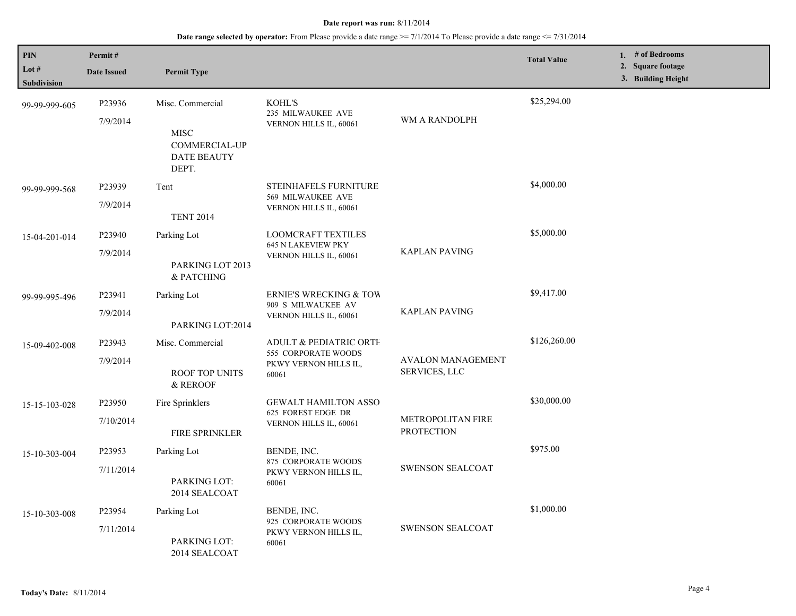| PIN<br>Lot $#$<br>Subdivision | Permit#<br><b>Date Issued</b> | <b>Permit Type</b>                                                              |                                                                                            |                                           | <b>Total Value</b> | 1. # of Bedrooms<br>2. Square footage<br>3. Building Height |
|-------------------------------|-------------------------------|---------------------------------------------------------------------------------|--------------------------------------------------------------------------------------------|-------------------------------------------|--------------------|-------------------------------------------------------------|
| 99-99-999-605                 | P23936<br>7/9/2014            | Misc. Commercial<br><b>MISC</b><br>COMMERCIAL-UP<br><b>DATE BEAUTY</b><br>DEPT. | KOHL'S<br>235 MILWAUKEE AVE<br>VERNON HILLS IL, 60061                                      | WM A RANDOLPH                             | \$25,294.00        |                                                             |
| 99-99-999-568                 | P23939<br>7/9/2014            | Tent<br><b>TENT 2014</b>                                                        | STEINHAFELS FURNITURE<br>569 MILWAUKEE AVE<br>VERNON HILLS IL, 60061                       |                                           | \$4,000.00         |                                                             |
| 15-04-201-014                 | P23940<br>7/9/2014            | Parking Lot<br>PARKING LOT 2013<br>& PATCHING                                   | <b>LOOMCRAFT TEXTILES</b><br><b>645 N LAKEVIEW PKY</b><br>VERNON HILLS IL, 60061           | <b>KAPLAN PAVING</b>                      | \$5,000.00         |                                                             |
| 99-99-995-496                 | P23941<br>7/9/2014            | Parking Lot<br>PARKING LOT:2014                                                 | <b>ERNIE'S WRECKING &amp; TOW</b><br>909 S MILWAUKEE AV<br>VERNON HILLS IL, 60061          | <b>KAPLAN PAVING</b>                      | \$9,417.00         |                                                             |
| 15-09-402-008                 | P23943<br>7/9/2014            | Misc. Commercial<br><b>ROOF TOP UNITS</b><br>& REROOF                           | <b>ADULT &amp; PEDIATRIC ORTH</b><br>555 CORPORATE WOODS<br>PKWY VERNON HILLS IL,<br>60061 | <b>AVALON MANAGEMENT</b><br>SERVICES, LLC | \$126,260.00       |                                                             |
| 15-15-103-028                 | P23950<br>7/10/2014           | Fire Sprinklers<br>FIRE SPRINKLER                                               | <b>GEWALT HAMILTON ASSO</b><br>625 FOREST EDGE DR<br>VERNON HILLS IL, 60061                | METROPOLITAN FIRE<br><b>PROTECTION</b>    | \$30,000.00        |                                                             |
| 15-10-303-004                 | P23953<br>7/11/2014           | Parking Lot<br>PARKING LOT:<br>2014 SEALCOAT                                    | BENDE, INC.<br>875 CORPORATE WOODS<br>PKWY VERNON HILLS IL,<br>60061                       | <b>SWENSON SEALCOAT</b>                   | \$975.00           |                                                             |
| 15-10-303-008                 | P23954<br>7/11/2014           | Parking Lot<br>PARKING LOT:<br>2014 SEALCOAT                                    | BENDE, INC.<br>925 CORPORATE WOODS<br>PKWY VERNON HILLS IL,<br>60061                       | <b>SWENSON SEALCOAT</b>                   | \$1,000.00         |                                                             |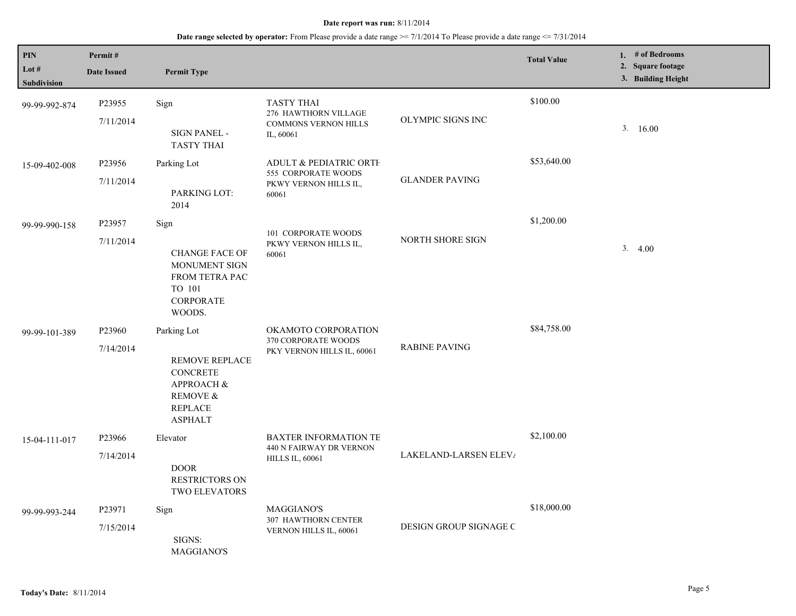| PIN<br>Lot $#$ | Permit#<br><b>Date Issued</b> | <b>Permit Type</b>                                                                                                                          |                                                                                       |                        | <b>Total Value</b> | 1. # of Bedrooms<br>2. Square footage |
|----------------|-------------------------------|---------------------------------------------------------------------------------------------------------------------------------------------|---------------------------------------------------------------------------------------|------------------------|--------------------|---------------------------------------|
| Subdivision    |                               |                                                                                                                                             |                                                                                       |                        |                    | 3. Building Height                    |
| 99-99-992-874  | P23955<br>7/11/2014           | Sign<br>SIGN PANEL -<br><b>TASTY THAI</b>                                                                                                   | <b>TASTY THAI</b><br>276 HAWTHORN VILLAGE<br><b>COMMONS VERNON HILLS</b><br>IL, 60061 | OLYMPIC SIGNS INC      | \$100.00           | 3.16.00                               |
| 15-09-402-008  | P23956<br>7/11/2014           | Parking Lot<br>PARKING LOT:<br>2014                                                                                                         | ADULT & PEDIATRIC ORTH<br>555 CORPORATE WOODS<br>PKWY VERNON HILLS IL,<br>60061       | <b>GLANDER PAVING</b>  | \$53,640.00        |                                       |
| 99-99-990-158  | P23957<br>7/11/2014           | Sign<br><b>CHANGE FACE OF</b><br><b>MONUMENT SIGN</b><br>FROM TETRA PAC<br>TO 101<br>CORPORATE<br>WOODS.                                    | 101 CORPORATE WOODS<br>PKWY VERNON HILLS IL,<br>60061                                 | NORTH SHORE SIGN       | \$1,200.00         | 3.4.00                                |
| 99-99-101-389  | P23960<br>7/14/2014           | Parking Lot<br><b>REMOVE REPLACE</b><br><b>CONCRETE</b><br><b>APPROACH &amp;</b><br><b>REMOVE &amp;</b><br><b>REPLACE</b><br><b>ASPHALT</b> | OKAMOTO CORPORATION<br>370 CORPORATE WOODS<br>PKY VERNON HILLS IL, 60061              | <b>RABINE PAVING</b>   | \$84,758.00        |                                       |
| 15-04-111-017  | P23966<br>7/14/2014           | Elevator<br><b>DOOR</b><br>RESTRICTORS ON<br>TWO ELEVATORS                                                                                  | <b>BAXTER INFORMATION TE</b><br>440 N FAIRWAY DR VERNON<br><b>HILLS IL, 60061</b>     | LAKELAND-LARSEN ELEV/  | \$2,100.00         |                                       |
| 99-99-993-244  | P23971<br>7/15/2014           | Sign<br>SIGNS:<br><b>MAGGIANO'S</b>                                                                                                         | MAGGIANO'S<br><b>307 HAWTHORN CENTER</b><br>VERNON HILLS IL, 60061                    | DESIGN GROUP SIGNAGE C | \$18,000.00        |                                       |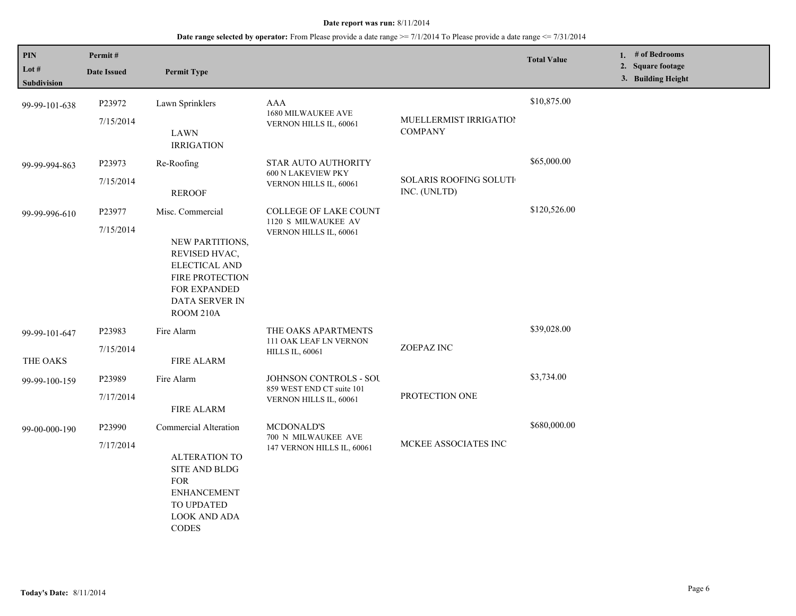| PIN<br>Lot $#$<br>Subdivision | Permit#<br><b>Date Issued</b> | <b>Permit Type</b>                                                                                                                                             |                                                                               |                                               | <b>Total Value</b> | 1. $#$ of Bedrooms<br>2. Square footage<br>3. Building Height |
|-------------------------------|-------------------------------|----------------------------------------------------------------------------------------------------------------------------------------------------------------|-------------------------------------------------------------------------------|-----------------------------------------------|--------------------|---------------------------------------------------------------|
| 99-99-101-638                 | P23972<br>7/15/2014           | Lawn Sprinklers<br><b>LAWN</b><br><b>IRRIGATION</b>                                                                                                            | AAA<br>1680 MILWAUKEE AVE<br>VERNON HILLS IL, 60061                           | MUELLERMIST IRRIGATIOI<br><b>COMPANY</b>      | \$10,875.00        |                                                               |
| 99-99-994-863                 | P23973<br>7/15/2014           | Re-Roofing<br><b>REROOF</b>                                                                                                                                    | <b>STAR AUTO AUTHORITY</b><br>600 N LAKEVIEW PKY<br>VERNON HILLS IL, 60061    | <b>SOLARIS ROOFING SOLUTI</b><br>INC. (UNLTD) | \$65,000.00        |                                                               |
| 99-99-996-610                 | P23977<br>7/15/2014           | Misc. Commercial<br>NEW PARTITIONS,<br>REVISED HVAC,<br>ELECTICAL AND<br>FIRE PROTECTION<br><b>FOR EXPANDED</b><br>DATA SERVER IN<br>ROOM 210A                 | COLLEGE OF LAKE COUNT<br>1120 S MILWAUKEE AV<br>VERNON HILLS IL, 60061        |                                               | \$120,526.00       |                                                               |
| 99-99-101-647<br>THE OAKS     | P23983<br>7/15/2014           | Fire Alarm<br><b>FIRE ALARM</b>                                                                                                                                | THE OAKS APARTMENTS<br>111 OAK LEAF LN VERNON<br><b>HILLS IL, 60061</b>       | ZOEPAZ INC                                    | \$39,028.00        |                                                               |
| 99-99-100-159                 | P23989<br>7/17/2014           | Fire Alarm<br><b>FIRE ALARM</b>                                                                                                                                | JOHNSON CONTROLS - SOU<br>859 WEST END CT suite 101<br>VERNON HILLS IL, 60061 | PROTECTION ONE                                | \$3,734.00         |                                                               |
| 99-00-000-190                 | P23990<br>7/17/2014           | <b>Commercial Alteration</b><br><b>ALTERATION TO</b><br>SITE AND BLDG<br><b>FOR</b><br><b>ENHANCEMENT</b><br>TO UPDATED<br><b>LOOK AND ADA</b><br><b>CODES</b> | MCDONALD'S<br>700 N MILWAUKEE AVE<br>147 VERNON HILLS IL, 60061               | MCKEE ASSOCIATES INC                          | \$680,000.00       |                                                               |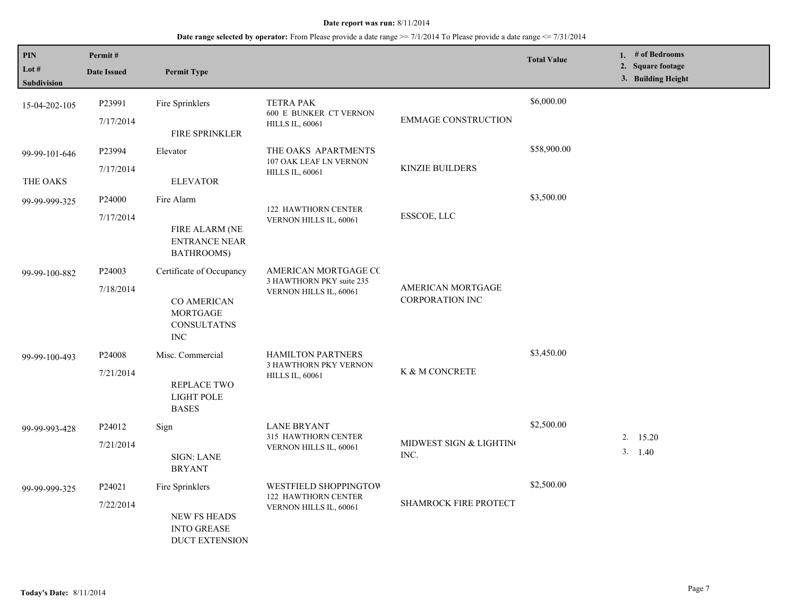| PIN<br>Lot $#$<br>Subdivision | Permit#<br><b>Date Issued</b>   | <b>Permit Type</b>                                                                                    |                                                                               |                                             | <b>Total Value</b> | 1. $#$ of Bedrooms<br>2. Square footage<br>3. Building Height |
|-------------------------------|---------------------------------|-------------------------------------------------------------------------------------------------------|-------------------------------------------------------------------------------|---------------------------------------------|--------------------|---------------------------------------------------------------|
| 15-04-202-105                 | P23991<br>7/17/2014             | Fire Sprinklers<br>FIRE SPRINKLER                                                                     | <b>TETRA PAK</b><br>600 E BUNKER CT VERNON<br><b>HILLS IL, 60061</b>          | <b>EMMAGE CONSTRUCTION</b>                  | \$6,000.00         |                                                               |
| 99-99-101-646<br>THE OAKS     | P23994<br>7/17/2014             | Elevator<br><b>ELEVATOR</b>                                                                           | THE OAKS APARTMENTS<br>107 OAK LEAF LN VERNON<br><b>HILLS IL, 60061</b>       | <b>KINZIE BUILDERS</b>                      | \$58,900.00        |                                                               |
| 99-99-999-325                 | P <sub>24000</sub><br>7/17/2014 | Fire Alarm<br>FIRE ALARM (NE<br><b>ENTRANCE NEAR</b><br>BATHROOMS)                                    | <b>122 HAWTHORN CENTER</b><br>VERNON HILLS IL, 60061                          | ESSCOE, LLC                                 | \$3,500.00         |                                                               |
| 99-99-100-882                 | P <sub>24003</sub><br>7/18/2014 | Certificate of Occupancy<br><b>CO AMERICAN</b><br><b>MORTGAGE</b><br><b>CONSULTATNS</b><br>$\rm{INC}$ | AMERICAN MORTGAGE CC<br>3 HAWTHORN PKY suite 235<br>VERNON HILLS IL, 60061    | AMERICAN MORTGAGE<br><b>CORPORATION INC</b> |                    |                                                               |
| 99-99-100-493                 | P24008<br>7/21/2014             | Misc. Commercial<br>REPLACE TWO<br>LIGHT POLE<br><b>BASES</b>                                         | <b>HAMILTON PARTNERS</b><br>3 HAWTHORN PKY VERNON<br><b>HILLS IL, 60061</b>   | K & M CONCRETE                              | \$3,450.00         |                                                               |
| 99-99-993-428                 | P24012<br>7/21/2014             | Sign<br><b>SIGN: LANE</b><br><b>BRYANT</b>                                                            | <b>LANE BRYANT</b><br>315 HAWTHORN CENTER<br>VERNON HILLS IL, 60061           | MIDWEST SIGN & LIGHTING<br>INC.             | \$2,500.00         | 2.15.20<br>3. 1.40                                            |
| 99-99-999-325                 | P24021<br>7/22/2014             | Fire Sprinklers<br><b>NEW FS HEADS</b><br><b>INTO GREASE</b><br><b>DUCT EXTENSION</b>                 | WESTFIELD SHOPPINGTOW<br><b>122 HAWTHORN CENTER</b><br>VERNON HILLS IL, 60061 | SHAMROCK FIRE PROTECT                       | \$2,500.00         |                                                               |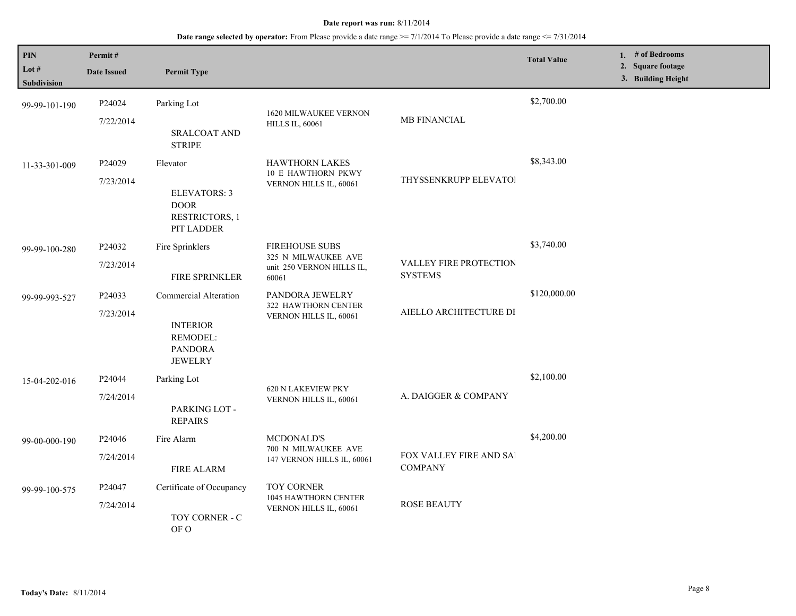| PIN<br>Lot #<br>Subdivision | Permit#<br><b>Date Issued</b> | <b>Permit Type</b>                                                                       |                                                                                    |                                           | <b>Total Value</b> | 1. # of Bedrooms<br>2. Square footage<br>3. Building Height |
|-----------------------------|-------------------------------|------------------------------------------------------------------------------------------|------------------------------------------------------------------------------------|-------------------------------------------|--------------------|-------------------------------------------------------------|
| 99-99-101-190               | P24024<br>7/22/2014           | Parking Lot<br><b>SRALCOAT AND</b><br><b>STRIPE</b>                                      | <b>1620 MILWAUKEE VERNON</b><br><b>HILLS IL, 60061</b>                             | MB FINANCIAL                              | \$2,700.00         |                                                             |
| 11-33-301-009               | P24029<br>7/23/2014           | Elevator<br><b>ELEVATORS: 3</b><br><b>DOOR</b><br>RESTRICTORS, 1<br>PIT LADDER           | <b>HAWTHORN LAKES</b><br><b>10 E HAWTHORN PKWY</b><br>VERNON HILLS IL, 60061       | THYSSENKRUPP ELEVATOI                     | \$8,343.00         |                                                             |
| 99-99-100-280               | P24032<br>7/23/2014           | Fire Sprinklers<br><b>FIRE SPRINKLER</b>                                                 | <b>FIREHOUSE SUBS</b><br>325 N MILWAUKEE AVE<br>unit 250 VERNON HILLS IL,<br>60061 | VALLEY FIRE PROTECTION<br><b>SYSTEMS</b>  | \$3,740.00         |                                                             |
| 99-99-993-527               | P24033<br>7/23/2014           | Commercial Alteration<br><b>INTERIOR</b><br>REMODEL:<br><b>PANDORA</b><br><b>JEWELRY</b> | PANDORA JEWELRY<br>322 HAWTHORN CENTER<br>VERNON HILLS IL, 60061                   | AIELLO ARCHITECTURE DI                    | \$120,000.00       |                                                             |
| 15-04-202-016               | P24044<br>7/24/2014           | Parking Lot<br>PARKING LOT-<br><b>REPAIRS</b>                                            | 620 N LAKEVIEW PKY<br>VERNON HILLS IL, 60061                                       | A. DAIGGER & COMPANY                      | \$2,100.00         |                                                             |
| 99-00-000-190               | P24046<br>7/24/2014           | Fire Alarm<br><b>FIRE ALARM</b>                                                          | MCDONALD'S<br>700 N MILWAUKEE AVE<br>147 VERNON HILLS IL, 60061                    | FOX VALLEY FIRE AND SAI<br><b>COMPANY</b> | \$4,200.00         |                                                             |
| 99-99-100-575               | P24047<br>7/24/2014           | Certificate of Occupancy<br>TOY CORNER - C<br>OF O                                       | <b>TOY CORNER</b><br>1045 HAWTHORN CENTER<br>VERNON HILLS IL, 60061                | <b>ROSE BEAUTY</b>                        |                    |                                                             |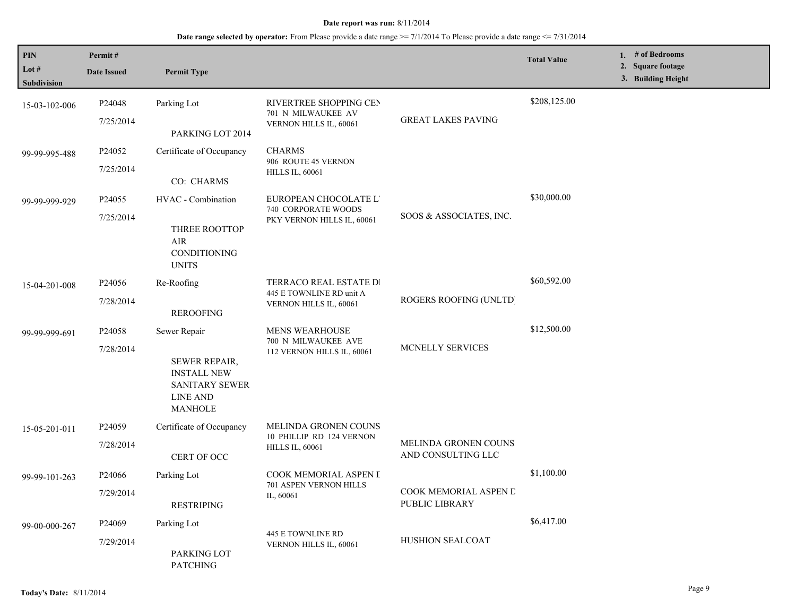| PIN<br>Lot $#$     | Permit#<br><b>Date Issued</b> | <b>Permit Type</b>                                                                                       |                                                    |                                                   | <b>Total Value</b> | 1. # of Bedrooms<br>2. Square footage |
|--------------------|-------------------------------|----------------------------------------------------------------------------------------------------------|----------------------------------------------------|---------------------------------------------------|--------------------|---------------------------------------|
| <b>Subdivision</b> |                               |                                                                                                          |                                                    |                                                   |                    | 3. Building Height                    |
| 15-03-102-006      | P24048                        | Parking Lot                                                                                              | RIVERTREE SHOPPING CEN<br>701 N MILWAUKEE AV       |                                                   | \$208,125.00       |                                       |
|                    | 7/25/2014                     | PARKING LOT 2014                                                                                         | VERNON HILLS IL, 60061                             | <b>GREAT LAKES PAVING</b>                         |                    |                                       |
| 99-99-995-488      | P24052                        | Certificate of Occupancy                                                                                 | <b>CHARMS</b><br>906 ROUTE 45 VERNON               |                                                   |                    |                                       |
|                    | 7/25/2014                     | CO: CHARMS                                                                                               | <b>HILLS IL, 60061</b>                             |                                                   |                    |                                       |
| 99-99-999-929      | P <sub>24055</sub>            | HVAC - Combination                                                                                       | EUROPEAN CHOCOLATE L'<br>740 CORPORATE WOODS       |                                                   | \$30,000.00        |                                       |
|                    | 7/25/2014                     | THREE ROOTTOP<br>AIR<br>CONDITIONING<br><b>UNITS</b>                                                     | PKY VERNON HILLS IL, 60061                         | SOOS & ASSOCIATES, INC.                           |                    |                                       |
| 15-04-201-008      | P <sub>24056</sub>            | Re-Roofing                                                                                               | TERRACO REAL ESTATE DI<br>445 E TOWNLINE RD unit A | ROGERS ROOFING (UNLTD)                            | \$60,592.00        |                                       |
|                    | 7/28/2014                     | <b>REROOFING</b>                                                                                         | VERNON HILLS IL, 60061                             |                                                   |                    |                                       |
| 99-99-999-691      | P24058                        | Sewer Repair                                                                                             | <b>MENS WEARHOUSE</b><br>700 N MILWAUKEE AVE       |                                                   | \$12,500.00        |                                       |
|                    | 7/28/2014                     | <b>SEWER REPAIR,</b><br><b>INSTALL NEW</b><br><b>SANITARY SEWER</b><br><b>LINE AND</b><br><b>MANHOLE</b> | 112 VERNON HILLS IL, 60061                         | MCNELLY SERVICES                                  |                    |                                       |
| 15-05-201-011      | P <sub>24059</sub>            | Certificate of Occupancy                                                                                 | MELINDA GRONEN COUNS<br>10 PHILLIP RD 124 VERNON   |                                                   |                    |                                       |
|                    | 7/28/2014                     | CERT OF OCC                                                                                              | <b>HILLS IL, 60061</b>                             | <b>MELINDA GRONEN COUNS</b><br>AND CONSULTING LLC |                    |                                       |
| 99-99-101-263      | P <sub>24066</sub>            | Parking Lot                                                                                              | COOK MEMORIAL ASPEN I<br>701 ASPEN VERNON HILLS    |                                                   | \$1,100.00         |                                       |
|                    | 7/29/2014                     | <b>RESTRIPING</b>                                                                                        | IL, 60061                                          | COOK MEMORIAL ASPEN D<br>PUBLIC LIBRARY           |                    |                                       |
| 99-00-000-267      | P <sub>24069</sub>            | Parking Lot                                                                                              | <b>445 E TOWNLINE RD</b>                           |                                                   | \$6,417.00         |                                       |
|                    | 7/29/2014                     | PARKING LOT<br><b>PATCHING</b>                                                                           | VERNON HILLS IL, 60061                             | HUSHION SEALCOAT                                  |                    |                                       |